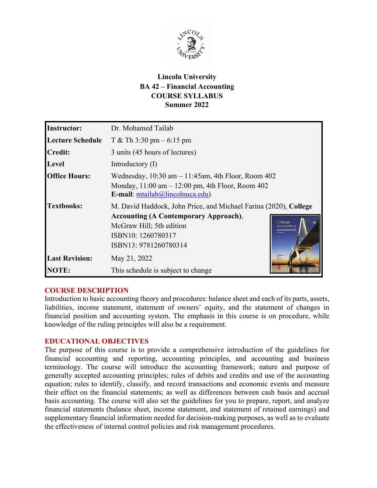

# **Lincoln University BA 42 – Financial Accounting COURSE SYLLABUS Summer 2022**

| <b>Instructor:</b>      | Dr. Mohamed Tailab                                                                                                                                                                                                   |
|-------------------------|----------------------------------------------------------------------------------------------------------------------------------------------------------------------------------------------------------------------|
| <b>Lecture Schedule</b> | T & Th $3:30 \text{ pm} - 6:15 \text{ pm}$                                                                                                                                                                           |
| Credit:                 | 3 units (45 hours of lectures)                                                                                                                                                                                       |
| Level                   | Introductory $(I)$                                                                                                                                                                                                   |
| <b>Office Hours:</b>    | Wednesday, $10:30$ am $-11:45$ am, 4th Floor, Room 402<br>Monday, $11:00$ am $-12:00$ pm, 4th Floor, Room 402<br>E-mail: mtailab@lincolnuca.edu)                                                                     |
| <b>Textbooks:</b>       | M. David Haddock, John Price, and Michael Farina (2020), College<br><b>Accounting (A Contemporary Approach),</b><br>College<br>McGraw Hill; 5th edition<br>Accounting<br>ISBN10: 1260780317<br>ISBN13: 9781260780314 |
| <b>Last Revision:</b>   | Haddock<br>May 21, 2022<br>Price<br>Farina                                                                                                                                                                           |
| <b>NOTE:</b>            | This schedule is subject to change                                                                                                                                                                                   |

### **COURSE DESCRIPTION**

Introduction to basic accounting theory and procedures: balance sheet and each of its parts, assets, liabilities, income statement, statement of owners' equity, and the statement of changes in financial position and accounting system. The emphasis in this course is on procedure, while knowledge of the ruling principles will also be a requirement.

### **EDUCATIONAL OBJECTIVES**

The purpose of this course is to provide a comprehensive introduction of the guidelines for financial accounting and reporting, accounting principles, and accounting and business terminology. The course will introduce the accounting framework; nature and purpose of generally accepted accounting principles; rules of debits and credits and use of the accounting equation; rules to identify, classify, and record transactions and economic events and measure their effect on the financial statements; as well as differences between cash basis and accrual basis accounting. The course will also set the guidelines for you to prepare, report, and analyze financial statements (balance sheet, income statement, and statement of retained earnings) and supplementary financial information needed for decision-making purposes, as well as to evaluate the effectiveness of internal control policies and risk management procedures.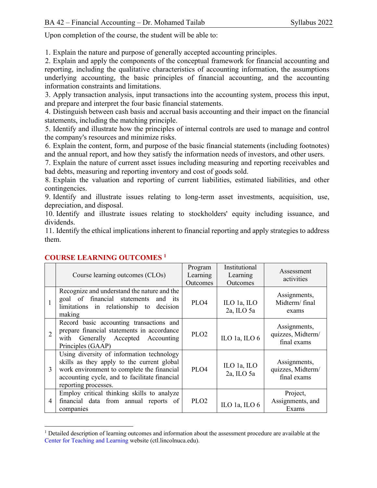Upon completion of the course, the student will be able to:

1. Explain the nature and purpose of generally accepted accounting principles.

2. Explain and apply the components of the conceptual framework for financial accounting and reporting, including the qualitative characteristics of accounting information, the assumptions underlying accounting, the basic principles of financial accounting, and the accounting information constraints and limitations.

3. Apply transaction analysis, input transactions into the accounting system, process this input, and prepare and interpret the four basic financial statements.

4. Distinguish between cash basis and accrual basis accounting and their impact on the financial statements, including the matching principle.

5. Identify and illustrate how the principles of internal controls are used to manage and control the company's resources and minimize risks.

6. Explain the content, form, and purpose of the basic financial statements (including footnotes) and the annual report, and how they satisfy the information needs of investors, and other users.

7. Explain the nature of current asset issues including measuring and reporting receivables and bad debts, measuring and reporting inventory and cost of goods sold.

8. Explain the valuation and reporting of current liabilities, estimated liabilities, and other contingencies.

9. Identify and illustrate issues relating to long-term asset investments, acquisition, use, depreciation, and disposal.

10. Identify and illustrate issues relating to stockholders' equity including issuance, and dividends.

11. Identify the ethical implications inherent to financial reporting and apply strategies to address them.

|                | Course learning outcomes (CLOs)                                                                                                                                                                                | Program<br>Learning<br>Outcomes | Institutional<br>Learning<br>Outcomes | Assessment<br>activities                         |
|----------------|----------------------------------------------------------------------------------------------------------------------------------------------------------------------------------------------------------------|---------------------------------|---------------------------------------|--------------------------------------------------|
|                | Recognize and understand the nature and the<br>goal of financial statements and its<br>limitations in relationship to decision<br>making                                                                       | PLO4                            | ILO 1a, ILO<br>2a, ILO 5a             | Assignments,<br>Midterm/final<br>exams           |
| $\overline{2}$ | Record basic accounting transactions and<br>prepare financial statements in accordance<br>with Generally Accepted Accounting<br>Principles (GAAP)                                                              | PLO <sub>2</sub>                | ILO 1a, ILO 6                         | Assignments,<br>quizzes, Midterm/<br>final exams |
| 3              | Using diversity of information technology<br>skills as they apply to the current global<br>work environment to complete the financial<br>accounting cycle, and to facilitate financial<br>reporting processes. | PLO4                            | ILO 1a, ILO<br>2a, ILO 5a             | Assignments,<br>quizzes, Midterm/<br>final exams |
| 4              | Employ critical thinking skills to analyze<br>financial data from annual reports of<br>companies                                                                                                               | PLO <sub>2</sub>                | ILO 1a, ILO $6$                       | Project,<br>Assignments, and<br>Exams            |

## **COURSE LEARNING OUTCOMES 1**

<sup>&</sup>lt;sup>1</sup> Detailed description of learning outcomes and information about the assessment procedure are available at the Center for Teaching and Learning website (ctl.lincolnuca.edu).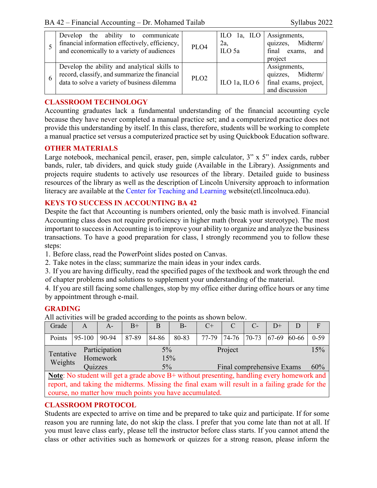|               | Develop the ability to communicate<br>financial information effectively, efficiency,<br>and economically to a variety of audiences           | PLO <sub>4</sub> | ILO $1a$ , ILO<br>2a,<br>ILO 5a | Assignments,<br>quizzes, Midterm/<br>final exams,<br>and<br>project          |
|---------------|----------------------------------------------------------------------------------------------------------------------------------------------|------------------|---------------------------------|------------------------------------------------------------------------------|
| $\mathfrak b$ | Develop the ability and analytical skills to<br>record, classify, and summarize the financial<br>data to solve a variety of business dilemma | PLO <sub>2</sub> | ILO 1a, ILO $6$                 | Assignments,<br>quizzes, Midterm/<br>final exams, project,<br>and discussion |

# **CLASSROOM TECHNOLOGY**

Accounting graduates lack a fundamental understanding of the financial accounting cycle because they have never completed a manual practice set; and a computerized practice does not provide this understanding by itself. In this class, therefore, students will be working to complete a manual practice set versus a computerized practice set by using Quickbook Education software.

### **OTHER MATERIALS**

Large notebook, mechanical pencil, eraser, pen, simple calculator, 3" x 5" index cards, rubber bands, ruler, tab dividers, and quick study guide (Available in the Library). Assignments and projects require students to actively use resources of the library. Detailed guide to business resources of the library as well as the description of Lincoln University approach to information literacy are available at the Center for Teaching and Learning website(ctl.lincolnuca.edu).

# **KEYS TO SUCCESS IN ACCOUNTING BA 42**

Despite the fact that Accounting is numbers oriented, only the basic math is involved. Financial Accounting class does not require proficiency in higher math (break your stereotype). The most important to success in Accounting is to improve your ability to organize and analyze the business transactions. To have a good preparation for class, I strongly recommend you to follow these steps:

1. Before class, read the PowerPoint slides posted on Canvas.

2. Take notes in the class; summarize the main ideas in your index cards.

3. If you are having difficulty, read the specified pages of the textbook and work through the end of chapter problems and solutions to supplement your understanding of the material.

4. If you are still facing some challenges, stop by my office either during office hours or any time by appointment through e-mail.

# **GRADING**

All activities will be graded according to the points as shown below.

| Grade                                                                                                | A                          | $A -$ | $B+$         |       | $B -$                     | $C+$  |  | С-          | $D+$    |       | F        |
|------------------------------------------------------------------------------------------------------|----------------------------|-------|--------------|-------|---------------------------|-------|--|-------------|---------|-------|----------|
| Points                                                                                               | $95-100$                   | 90-94 | 87-89        | 84-86 | 80-83                     | 77-79 |  | 74-76 70-73 | $67-69$ | 60-66 | $0 - 59$ |
| Tentative                                                                                            | Participation              |       | 5%           |       | Project                   |       |  |             | 15%     |       |          |
| Weights                                                                                              | Homework<br><b>Ouizzes</b> |       | 15%<br>$5\%$ |       | Final comprehensive Exams |       |  |             | 60%     |       |          |
| <b>Note:</b> No student will get a grade above $B$ + without presenting, handling every homework and |                            |       |              |       |                           |       |  |             |         |       |          |

report, and taking the midterms. Missing the final exam will result in a failing grade for the course, no matter how much points you have accumulated.

# **CLASSROOM PROTOCOL**

Students are expected to arrive on time and be prepared to take quiz and participate. If for some reason you are running late, do not skip the class. I prefer that you come late than not at all. If you must leave class early, please tell the instructor before class starts. If you cannot attend the class or other activities such as homework or quizzes for a strong reason, please inform the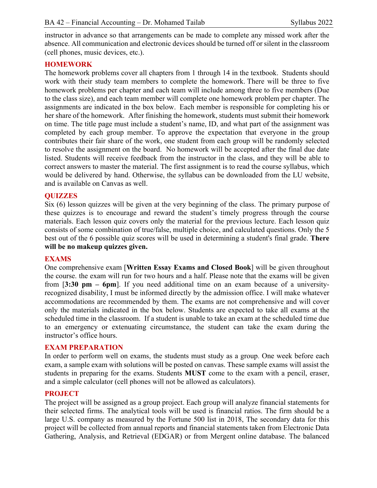instructor in advance so that arrangements can be made to complete any missed work after the absence. All communication and electronic devices should be turned off or silent in the classroom (cell phones, music devices, etc.).

### **HOMEWORK**

The homework problems cover all chapters from 1 through 14 in the textbook. Students should work with their study team members to complete the homework. There will be three to five homework problems per chapter and each team will include among three to five members (Due to the class size), and each team member will complete one homework problem per chapter. The assignments are indicated in the box below. Each member is responsible for completing his or her share of the homework. After finishing the homework, students must submit their homework on time. The title page must include a student's name, ID, and what part of the assignment was completed by each group member. To approve the expectation that everyone in the group contributes their fair share of the work, one student from each group will be randomly selected to resolve the assignment on the board. No homework will be accepted after the final due date listed. Students will receive feedback from the instructor in the class, and they will be able to correct answers to master the material. The first assignment is to read the course syllabus, which would be delivered by hand. Otherwise, the syllabus can be downloaded from the LU website, and is available on Canvas as well.

### **QUIZZES**

Six (6) lesson quizzes will be given at the very beginning of the class. The primary purpose of these quizzes is to encourage and reward the student's timely progress through the course materials. Each lesson quiz covers only the material for the previous lecture. Each lesson quiz consists of some combination of true/false, multiple choice, and calculated questions. Only the 5 best out of the 6 possible quiz scores will be used in determining a student's final grade. **There will be no makeup quizzes given.**

### **EXAMS**

One comprehensive exam [**Written Essay Exams and Closed Book**] will be given throughout the course. the exam will run for two hours and a half. Please note that the exams will be given from [**3:30 pm – 6pm**]. If you need additional time on an exam because of a universityrecognized disability, I must be informed directly by the admission office. I will make whatever accommodations are recommended by them. The exams are not comprehensive and will cover only the materials indicated in the box below. Students are expected to take all exams at the scheduled time in the classroom. If a student is unable to take an exam at the scheduled time due to an emergency or extenuating circumstance, the student can take the exam during the instructor's office hours.

### **EXAM PREPARATION**

In order to perform well on exams, the students must study as a group. One week before each exam, a sample exam with solutions will be posted on canvas. These sample exams will assist the students in preparing for the exams. Students **MUST** come to the exam with a pencil, eraser, and a simple calculator (cell phones will not be allowed as calculators).

#### **PROJECT**

The project will be assigned as a group project. Each group will analyze financial statements for their selected firms. The analytical tools will be used is financial ratios. The firm should be a large U.S. company as measured by the Fortune 500 list in 2018, The secondary data for this project will be collected from annual reports and financial statements taken from Electronic Data Gathering, Analysis, and Retrieval (EDGAR) or from Mergent online database. The balanced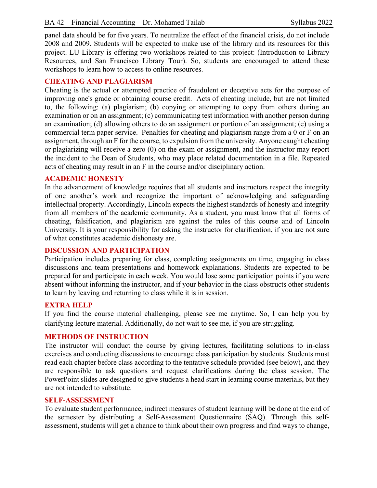panel data should be for five years. To neutralize the effect of the financial crisis, do not include 2008 and 2009. Students will be expected to make use of the library and its resources for this project. LU Library is offering two workshops related to this project: (Introduction to Library Resources, and San Francisco Library Tour). So, students are encouraged to attend these workshops to learn how to access to online resources.

### **CHEATING AND PLAGIARISM**

Cheating is the actual or attempted practice of fraudulent or deceptive acts for the purpose of improving one's grade or obtaining course credit. Acts of cheating include, but are not limited to, the following: (a) plagiarism; (b) copying or attempting to copy from others during an examination or on an assignment; (c) communicating test information with another person during an examination; (d) allowing others to do an assignment or portion of an assignment; (e) using a commercial term paper service. Penalties for cheating and plagiarism range from a 0 or F on an assignment, through an F for the course, to expulsion from the university. Anyone caught cheating or plagiarizing will receive a zero (0) on the exam or assignment, and the instructor may report the incident to the Dean of Students, who may place related documentation in a file. Repeated acts of cheating may result in an F in the course and/or disciplinary action.

#### **ACADEMIC HONESTY**

In the advancement of knowledge requires that all students and instructors respect the integrity of one another's work and recognize the important of acknowledging and safeguarding intellectual property. Accordingly, Lincoln expects the highest standards of honesty and integrity from all members of the academic community. As a student, you must know that all forms of cheating, falsification, and plagiarism are against the rules of this course and of Lincoln University. It is your responsibility for asking the instructor for clarification, if you are not sure of what constitutes academic dishonesty are.

#### **DISCUSSION AND PARTICIPATION**

Participation includes preparing for class, completing assignments on time, engaging in class discussions and team presentations and homework explanations. Students are expected to be prepared for and participate in each week. You would lose some participation points if you were absent without informing the instructor, and if your behavior in the class obstructs other students to learn by leaving and returning to class while it is in session.

### **EXTRA HELP**

If you find the course material challenging, please see me anytime. So, I can help you by clarifying lecture material. Additionally, do not wait to see me, if you are struggling.

#### **METHODS OF INSTRUCTION**

The instructor will conduct the course by giving lectures, facilitating solutions to in-class exercises and conducting discussions to encourage class participation by students. Students must read each chapter before class according to the tentative schedule provided (see below), and they are responsible to ask questions and request clarifications during the class session. The PowerPoint slides are designed to give students a head start in learning course materials, but they are not intended to substitute.

#### **SELF-ASSESSMENT**

To evaluate student performance, indirect measures of student learning will be done at the end of the semester by distributing a Self-Assessment Questionnaire (SAQ). Through this selfassessment, students will get a chance to think about their own progress and find ways to change,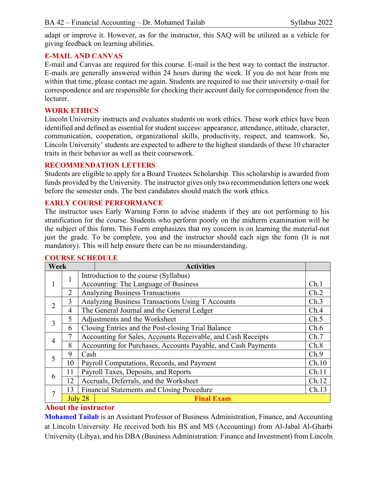adapt or improve it. However, as for the instructor, this SAQ will be utilized as a vehicle for giving feedback on learning abilities.

### **E-MAIL AND CANVAS**

E-mail and Canvas are required for this course. E-mail is the best way to contact the instructor. E-mails are generally answered within 24 hours during the week. If you do not hear from me within that time, please contact me again. Students are required to use their university e-mail for correspondence and are responsible for checking their account daily for correspondence from the lecturer.

### **WORK ETHICS**

Lincoln University instructs and evaluates students on work ethics. These work ethics have been identified and defined as essential for student success: appearance, attendance, attitude, character, communication, cooperation, organizational skills, productivity, respect, and teamwork. So, Lincoln University' students are expected to adhere to the highest standards of these 10 character traits in their behavior as well as their coursework.

### **RECOMMENDATION LETTERS**

Students are eligible to apply for a Board Trustees Scholarship. This scholarship is awarded from funds provided by the University. The instructor gives only two recommendation letters one week before the semester ends. The best candidates should match the work ethics.

## **EARLY COURSE PERFORMANCE**

The instructor uses Early Warning Form to advise students if they are not performing to his stratification for the course. Students who perform poorly on the midterm examination will be the subject of this form. This Form emphasizes that my concern is on learning the material-not just the grade. To be complete, you and the instructor should each sign the form (It is not mandatory). This will help ensure there can be no misunderstanding.

| Week           |                |         | <b>Activities</b>                                             |       |
|----------------|----------------|---------|---------------------------------------------------------------|-------|
| 1              |                |         | Introduction to the course (Syllabus)                         |       |
|                |                |         | Accounting: The Language of Business                          | Ch.1  |
|                | $\overline{2}$ |         | <b>Analyzing Business Transactions</b>                        | Ch.2  |
| $\overline{2}$ | 3              |         | Analyzing Business Transactions Using T Accounts              | Ch.3  |
|                | $\overline{4}$ |         | The General Journal and the General Ledger                    | Ch.4  |
|                | 5              |         | Adjustments and the Worksheet                                 | Ch.5  |
| 3              | 6              |         | Closing Entries and the Post-closing Trial Balance            | Ch.6  |
|                | 7              |         | Accounting for Sales, Accounts Receivable, and Cash Receipts  | Ch.7  |
| $\overline{4}$ | 8              |         | Accounting for Purchases, Accounts Payable, and Cash Payments | Ch.8  |
| 5              | 9              | Cash    |                                                               | Ch.9  |
|                | 10             |         | Payroll Computations, Records, and Payment                    | Ch.10 |
| 6              | 11             |         | Payroll Taxes, Deposits, and Reports                          | Ch.11 |
|                | 12             |         | Accruals, Deferrals, and the Worksheet                        | Ch.12 |
| 7              | 13             |         | <b>Financial Statements and Closing Procedure</b>             | Ch.13 |
|                |                | July 28 | <b>Final Exam</b>                                             |       |

## **COURSE SCHEDULE**

## **About the instructor**

**Mohamed Tailab** is an Assistant Professor of Business Administration, Finance, and Accounting at Lincoln University. He received both his BS and MS (Accounting) from Al-Jabal Al-Gharbi University (Libya), and his DBA (Business Administration: Finance and Investment) from Lincoln